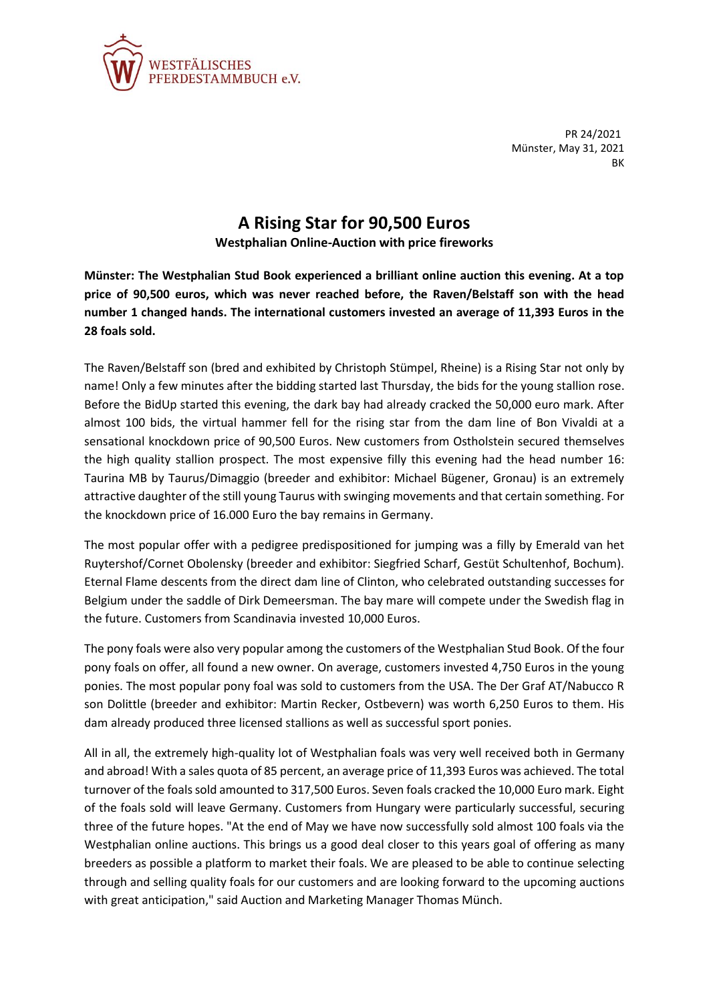

PR 24/2021 Münster, May 31, 2021 **BK** 

## **A Rising Star for 90,500 Euros**

**Westphalian Online-Auction with price fireworks**

**Münster: The Westphalian Stud Book experienced a brilliant online auction this evening. At a top price of 90,500 euros, which was never reached before, the Raven/Belstaff son with the head number 1 changed hands. The international customers invested an average of 11,393 Euros in the 28 foals sold.**

The Raven/Belstaff son (bred and exhibited by Christoph Stümpel, Rheine) is a Rising Star not only by name! Only a few minutes after the bidding started last Thursday, the bids for the young stallion rose. Before the BidUp started this evening, the dark bay had already cracked the 50,000 euro mark. After almost 100 bids, the virtual hammer fell for the rising star from the dam line of Bon Vivaldi at a sensational knockdown price of 90,500 Euros. New customers from Ostholstein secured themselves the high quality stallion prospect. The most expensive filly this evening had the head number 16: Taurina MB by Taurus/Dimaggio (breeder and exhibitor: Michael Bügener, Gronau) is an extremely attractive daughter of the still young Taurus with swinging movements and that certain something. For the knockdown price of 16.000 Euro the bay remains in Germany.

The most popular offer with a pedigree predispositioned for jumping was a filly by Emerald van het Ruytershof/Cornet Obolensky (breeder and exhibitor: Siegfried Scharf, Gestüt Schultenhof, Bochum). Eternal Flame descents from the direct dam line of Clinton, who celebrated outstanding successes for Belgium under the saddle of Dirk Demeersman. The bay mare will compete under the Swedish flag in the future. Customers from Scandinavia invested 10,000 Euros.

The pony foals were also very popular among the customers of the Westphalian Stud Book. Of the four pony foals on offer, all found a new owner. On average, customers invested 4,750 Euros in the young ponies. The most popular pony foal was sold to customers from the USA. The Der Graf AT/Nabucco R son Dolittle (breeder and exhibitor: Martin Recker, Ostbevern) was worth 6,250 Euros to them. His dam already produced three licensed stallions as well as successful sport ponies.

All in all, the extremely high-quality lot of Westphalian foals was very well received both in Germany and abroad! With a sales quota of 85 percent, an average price of 11,393 Euros was achieved. The total turnover of the foals sold amounted to 317,500 Euros. Seven foals cracked the 10,000 Euro mark. Eight of the foals sold will leave Germany. Customers from Hungary were particularly successful, securing three of the future hopes. "At the end of May we have now successfully sold almost 100 foals via the Westphalian online auctions. This brings us a good deal closer to this years goal of offering as many breeders as possible a platform to market their foals. We are pleased to be able to continue selecting through and selling quality foals for our customers and are looking forward to the upcoming auctions with great anticipation," said Auction and Marketing Manager Thomas Münch.